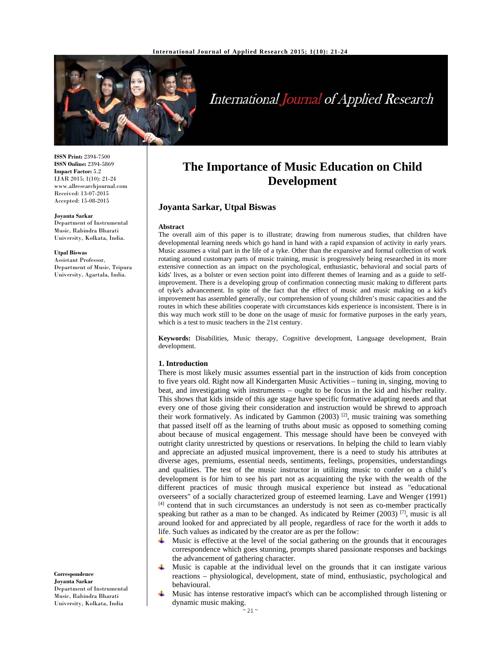

# International Journal of Applied Research

**ISSN Print:** 2394-7500 **ISSN Online:** 2394-5869 **Impact Factor:** 5.2 IJAR 2015; 1(10): 21-24 www.allresearchjournal.com Received: 13-07-2015 Accepted: 15-08-2015

#### **Joyanta Sarkar**

Department of Instrumental Music, Rabindra Bharati University, Kolkata, India.

#### **Utpal Biswas**

Assistant Professor, Department of Music, Tripura University, Agartala, India.

**Correspondence Joyanta Sarkar**  Department of Instrumental Music, Rabindra Bharati University, Kolkata, India

## **The Importance of Music Education on Child Development**

### **Joyanta Sarkar, Utpal Biswas**

#### **Abstract**

The overall aim of this paper is to illustrate; drawing from numerous studies, that children have developmental learning needs which go hand in hand with a rapid expansion of activity in early years. Music assumes a vital part in the life of a tyke. Other than the expansive and formal collection of work rotating around customary parts of music training, music is progressively being researched in its more extensive connection as an impact on the psychological, enthusiastic, behavioral and social parts of kids' lives, as a bolster or even section point into different themes of learning and as a guide to selfimprovement. There is a developing group of confirmation connecting music making to different parts of tyke's advancement. In spite of the fact that the effect of music and music making on a kid's improvement has assembled generally, our comprehension of young children's music capacities and the routes in which these abilities cooperate with circumstances kids experience is inconsistent. There is in this way much work still to be done on the usage of music for formative purposes in the early years, which is a test to music teachers in the 21st century.

**Keywords:** Disabilities, Music therapy, Cognitive development, Language development, Brain development.

#### **1. Introduction**

There is most likely music assumes essential part in the instruction of kids from conception to five years old. Right now all Kindergarten Music Activities – tuning in, singing, moving to beat, and investigating with instruments – ought to be focus in the kid and his/her reality. This shows that kids inside of this age stage have specific formative adapting needs and that every one of those giving their consideration and instruction would be shrewd to approach their work formatively. As indicated by Gammon  $(2003)$  <sup>[2]</sup>, music training was something that passed itself off as the learning of truths about music as opposed to something coming about because of musical engagement. This message should have been be conveyed with outright clarity unrestricted by questions or reservations. In helping the child to learn viably and appreciate an adjusted musical improvement, there is a need to study his attributes at diverse ages, premiums, essential needs, sentiments, feelings, propensities, understandings and qualities. The test of the music instructor in utilizing music to confer on a child's development is for him to see his part not as acquainting the tyke with the wealth of the different practices of music through musical experience but instead as "educational overseers" of a socially characterized group of esteemed learning. Lave and Wenger (1991)  $[4]$  contend that in such circumstances an understudy is not seen as co-member practically speaking but rather as a man to be changed. As indicated by Reimer (2003)  $^{[7]}$ , music is all around looked for and appreciated by all people, regardless of race for the worth it adds to life. Such values as indicated by the creator are as per the follow:

- Music is effective at the level of the social gathering on the grounds that it encourages ₩. correspondence which goes stunning, prompts shared passionate responses and backings the advancement of gathering character.
- Music is capable at the individual level on the grounds that it can instigate various reactions – physiological, development, state of mind, enthusiastic, psychological and behavioural.
- Music has intense restorative impact's which can be accomplished through listening or dynamic music making.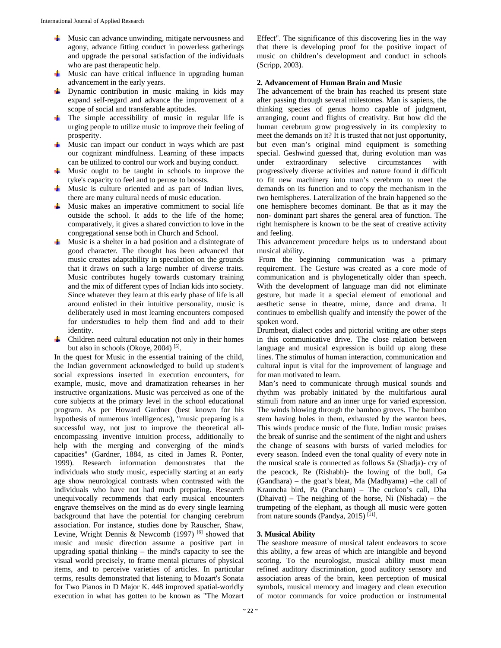- $\downarrow$  Music can advance unwinding, mitigate nervousness and agony, advance fitting conduct in powerless gatherings and upgrade the personal satisfaction of the individuals who are past therapeutic help.
- $\downarrow$  Music can have critical influence in upgrading human advancement in the early years.
- Dynamic contribution in music making in kids may expand self-regard and advance the improvement of a scope of social and transferable aptitudes.
- $\pm$  The simple accessibility of music in regular life is urging people to utilize music to improve their feeling of prosperity.
- Music can impact our conduct in ways which are past our cognizant mindfulness. Learning of these impacts can be utilized to control our work and buying conduct.
- Music ought to be taught in schools to improve the tyke's capacity to feel and to peruse to boosts.
- $\ddot{\phantom{1}}$ Music is culture oriented and as part of Indian lives, there are many cultural needs of music education.
- Music makes an imperative commitment to social life ۰. outside the school. It adds to the life of the home; comparatively, it gives a shared conviction to love in the congregational sense both in Church and School.
- Music is a shelter in a bad position and a disintegrate of ₩. good character. The thought has been advanced that music creates adaptability in speculation on the grounds that it draws on such a large number of diverse traits. Music contributes hugely towards customary training and the mix of different types of Indian kids into society. Since whatever they learn at this early phase of life is all around enlisted in their intuitive personality, music is deliberately used in most learning encounters composed for understudies to help them find and add to their identity.
- Children need cultural education not only in their homes but also in schools (Okoye, 2004)<sup>[5]</sup>.

In the quest for Music in the essential training of the child, the Indian government acknowledged to build up student's social expressions inserted in execution encounters, for example, music, move and dramatization rehearses in her instructive organizations. Music was perceived as one of the core subjects at the primary level in the school educational program. As per Howard Gardner (best known for his hypothesis of numerous intelligences), "music preparing is a successful way, not just to improve the theoretical allencompassing inventive intuition process, additionally to help with the merging and converging of the mind's capacities" (Gardner, 1884, as cited in James R. Ponter, 1999). Research information demonstrates that the individuals who study music, especially starting at an early age show neurological contrasts when contrasted with the individuals who have not had much preparing. Research unequivocally recommends that early musical encounters engrave themselves on the mind as do every single learning background that have the potential for changing cerebrum association. For instance, studies done by Rauscher, Shaw, Levine, Wright Dennis & Newcomb  $(1997)$  [6] showed that music and music direction assume a positive part in upgrading spatial thinking – the mind's capacity to see the visual world precisely, to frame mental pictures of physical items, and to perceive varieties of articles. In particular terms, results demonstrated that listening to Mozart's Sonata for Two Pianos in D Major K. 448 improved spatial-worldly execution in what has gotten to be known as "The Mozart

Effect". The significance of this discovering lies in the way that there is developing proof for the positive impact of music on children's development and conduct in schools (Scripp, 2003).

#### **2. Advancement of Human Brain and Music**

The advancement of the brain has reached its present state after passing through several milestones. Man is sapiens, the thinking species of genus homo capable of judgment, arranging, count and flights of creativity. But how did the human cerebrum grow progressively in its complexity to meet the demands on it? It is trusted that not just opportunity, but even man's original mind equipment is something special. Geshwind guessed that, during evolution man was under extraordinary selective circumstances with progressively diverse activities and nature found it difficult to fit new machinery into man's cerebrum to meet the demands on its function and to copy the mechanism in the two hemispheres. Lateralization of the brain happened so the one hemisphere becomes dominant. Be that as it may the non- dominant part shares the general area of function. The right hemisphere is known to be the seat of creative activity and feeling.

This advancement procedure helps us to understand about musical ability.

 From the beginning communication was a primary requirement. The Gesture was created as a core mode of communication and is phylogenetically older than speech. With the development of language man did not eliminate gesture, but made it a special element of emotional and aesthetic sense in theatre, mime, dance and drama. It continues to embellish qualify and intensify the power of the spoken word.

Drumbeat, dialect codes and pictorial writing are other steps in this communicative drive. The close relation between language and musical expression is build up along these lines. The stimulus of human interaction, communication and cultural input is vital for the improvement of language and for man motivated to learn.

 Man's need to communicate through musical sounds and rhythm was probably initiated by the multifarious aural stimuli from nature and an inner urge for varied expression. The winds blowing through the bamboo groves. The bamboo stem having holes in them, exhausted by the wanton bees. This winds produce music of the flute. Indian music praises the break of sunrise and the sentiment of the night and ushers the change of seasons with bursts of varied melodies for every season. Indeed even the tonal quality of every note in the musical scale is connected as follows Sa (Shadja)- cry of the peacock, Re (Rishabh)- the lowing of the bull, Ga (Gandhara) – the goat's bleat, Ma (Madhyama) –the call of Krauncha bird, Pa (Pancham) – The cuckoo's call, Dha (Dhaivat) – The neighing of the horse, Ni (Nishada) – the trumpeting of the elephant, as though all music were gotten from nature sounds (Pandya, 2015)<sup>[11]</sup>.

### **3. Musical Ability**

The seashore measure of musical talent endeavors to score this ability, a few areas of which are intangible and beyond scoring. To the neurologist, musical ability must mean refined auditory discrimination, good auditory sensory and association areas of the brain, keen perception of musical symbols, musical memory and imagery and clean execution of motor commands for voice production or instrumental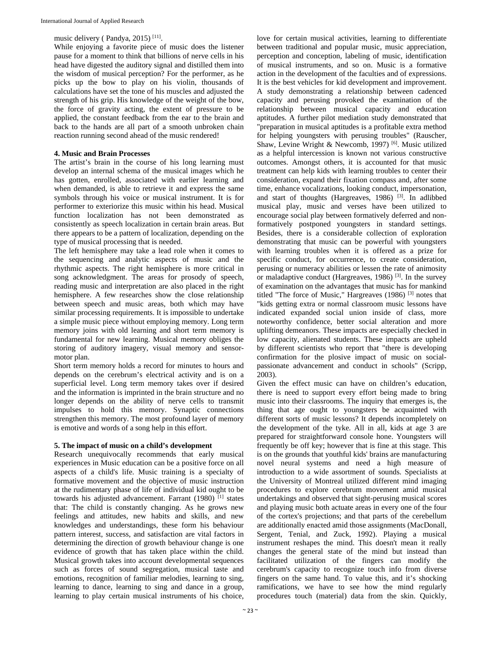music delivery ( Pandya, 2015)<sup>[11]</sup>.

While enjoying a favorite piece of music does the listener pause for a moment to think that billions of nerve cells in his head have digested the auditory signal and distilled them into the wisdom of musical perception? For the performer, as he picks up the bow to play on his violin, thousands of calculations have set the tone of his muscles and adjusted the strength of his grip. His knowledge of the weight of the bow, the force of gravity acting, the extent of pressure to be applied, the constant feedback from the ear to the brain and back to the hands are all part of a smooth unbroken chain reaction running second ahead of the music rendered!

## **4. Music and Brain Processes**

The artist's brain in the course of his long learning must develop an internal schema of the musical images which he has gotten, enrolled, associated with earlier learning and when demanded, is able to retrieve it and express the same symbols through his voice or musical instrument. It is for performer to exteriorize this music within his head. Musical function localization has not been demonstrated as consistently as speech localization in certain brain areas. But there appears to be a pattern of localization, depending on the type of musical processing that is needed.

The left hemisphere may take a lead role when it comes to the sequencing and analytic aspects of music and the rhythmic aspects. The right hemisphere is more critical in song acknowledgment. The areas for prosody of speech, reading music and interpretation are also placed in the right hemisphere. A few researches show the close relationship between speech and music areas, both which may have similar processing requirements. It is impossible to undertake a simple music piece without employing memory. Long term memory joins with old learning and short term memory is fundamental for new learning. Musical memory obliges the storing of auditory imagery, visual memory and sensormotor plan.

Short term memory holds a record for minutes to hours and depends on the cerebrum's electrical activity and is on a superficial level. Long term memory takes over if desired and the information is imprinted in the brain structure and no longer depends on the ability of nerve cells to transmit impulses to hold this memory. Synaptic connections strengthen this memory. The most profound layer of memory is emotive and words of a song help in this effort.

## **5. The impact of music on a child's development**

Research unequivocally recommends that early musical experiences in Music education can be a positive force on all aspects of a child's life. Music training is a specialty of formative movement and the objective of music instruction at the rudimentary phase of life of individual kid ought to be towards his adjusted advancement. Farrant (1980) [1] states that: The child is constantly changing. As he grows new feelings and attitudes, new habits and skills, and new knowledges and understandings, these form his behaviour pattern interest, success, and satisfaction are vital factors in determining the direction of growth behaviour change is one evidence of growth that has taken place within the child. Musical growth takes into account developmental sequences such as forces of sound segregation, musical taste and emotions, recognition of familiar melodies, learning to sing, learning to dance, learning to sing and dance in a group, learning to play certain musical instruments of his choice,

love for certain musical activities, learning to differentiate between traditional and popular music, music appreciation, perception and conception, labeling of music, identification of musical instruments, and so on. Music is a formative action in the development of the faculties and of expressions. It is the best vehicles for kid development and improvement. A study demonstrating a relationship between cadenced capacity and perusing provoked the examination of the relationship between musical capacity and education aptitudes. A further pilot mediation study demonstrated that "preparation in musical aptitudes is a profitable extra method for helping youngsters with perusing troubles" (Rauscher, Shaw, Levine Wright & Newcomb, 1997)<sup>[6]</sup>. Music utilized as a helpful intercession is known not various constructive outcomes. Amongst others, it is accounted for that music treatment can help kids with learning troubles to center their consideration, expand their fixation compass and, after some time, enhance vocalizations, looking conduct, impersonation, and start of thoughts (Hargreaves, 1986)<sup>[3]</sup>. In adlibbed musical play, music and verses have been utilized to encourage social play between formatively deferred and nonformatively postponed youngsters in standard settings. Besides, there is a considerable collection of exploration demonstrating that music can be powerful with youngsters with learning troubles when it is offered as a prize for specific conduct, for occurrence, to create consideration, perusing or numeracy abilities or lessen the rate of animosity or maladaptive conduct (Hargreaves, 1986)<sup>[3]</sup>. In the survey of examination on the advantages that music has for mankind titled "The force of Music," Hargreaves (1986)<sup>[3]</sup> notes that "kids getting extra or normal classroom music lessons have indicated expanded social union inside of class, more noteworthy confidence, better social alteration and more uplifting demeanors. These impacts are especially checked in low capacity, alienated students. These impacts are upheld by different scientists who report that "there is developing confirmation for the plosive impact of music on socialpassionate advancement and conduct in schools" (Scripp, 2003).

Given the effect music can have on children's education, there is need to support every effort being made to bring music into their classrooms. The inquiry that emerges is, the thing that age ought to youngsters be acquainted with different sorts of music lessons? It depends incompletely on the development of the tyke. All in all, kids at age 3 are prepared for straightforward console hone. Youngsters will frequently be off key; however that is fine at this stage. This is on the grounds that youthful kids' brains are manufacturing novel neural systems and need a high measure of introduction to a wide assortment of sounds. Specialists at the University of Montreal utilized different mind imaging procedures to explore cerebrum movement amid musical undertakings and observed that sight-perusing musical scores and playing music both actuate areas in every one of the four of the cortex's projections; and that parts of the cerebellum are additionally enacted amid those assignments (MacDonall, Sergent, Tenial, and Zuck, 1992). Playing a musical instrument reshapes the mind. This doesn't mean it really changes the general state of the mind but instead than facilitated utilization of the fingers can modify the cerebrum's capacity to recognize touch info from diverse fingers on the same hand. To value this, and it's shocking ramifications, we have to see how the mind regularly procedures touch (material) data from the skin. Quickly,